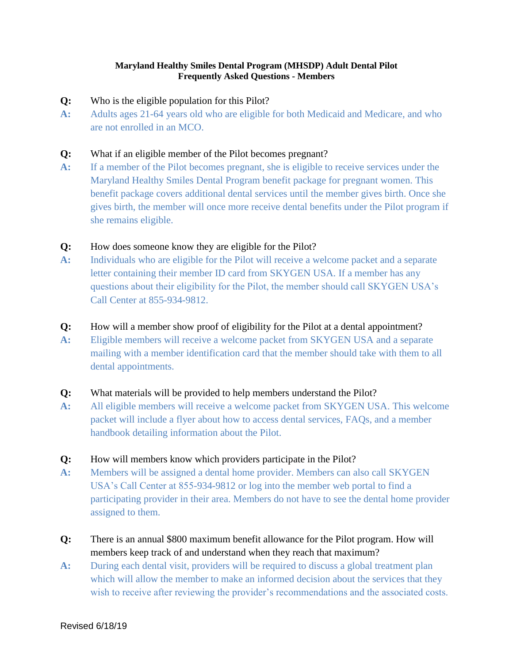#### **Maryland Healthy Smiles Dental Program (MHSDP) Adult Dental Pilot Frequently Asked Questions - Members**

- **Q:** Who is the eligible population for this Pilot?
- **A:** Adults ages 21-64 years old who are eligible for both Medicaid and Medicare, and who are not enrolled in an MCO.

#### **Q:** What if an eligible member of the Pilot becomes pregnant?

**A:** If a member of the Pilot becomes pregnant, she is eligible to receive services under the Maryland Healthy Smiles Dental Program benefit package for pregnant women. This benefit package covers additional dental services until the member gives birth. Once she gives birth, the member will once more receive dental benefits under the Pilot program if she remains eligible.

#### **Q:** How does someone know they are eligible for the Pilot?

**A:** Individuals who are eligible for the Pilot will receive a welcome packet and a separate letter containing their member ID card from SKYGEN USA. If a member has any questions about their eligibility for the Pilot, the member should call SKYGEN USA's Call Center at 855-934-9812.

#### **Q:** How will a member show proof of eligibility for the Pilot at a dental appointment?

**A:** Eligible members will receive a welcome packet from SKYGEN USA and a separate mailing with a member identification card that the member should take with them to all dental appointments.

#### **Q:** What materials will be provided to help members understand the Pilot?

**A:** All eligible members will receive a welcome packet from SKYGEN USA. This welcome packet will include a flyer about how to access dental services, FAQs, and a member handbook detailing information about the Pilot.

#### **Q:** How will members know which providers participate in the Pilot?

- **A:** Members will be assigned a dental home provider. Members can also call SKYGEN USA's Call Center at 855-934-9812 or log into the member web portal to find a participating provider in their area. Members do not have to see the dental home provider assigned to them.
- **Q:** There is an annual \$800 maximum benefit allowance for the Pilot program. How will members keep track of and understand when they reach that maximum?
- **A:** During each dental visit, providers will be required to discuss a global treatment plan which will allow the member to make an informed decision about the services that they wish to receive after reviewing the provider's recommendations and the associated costs.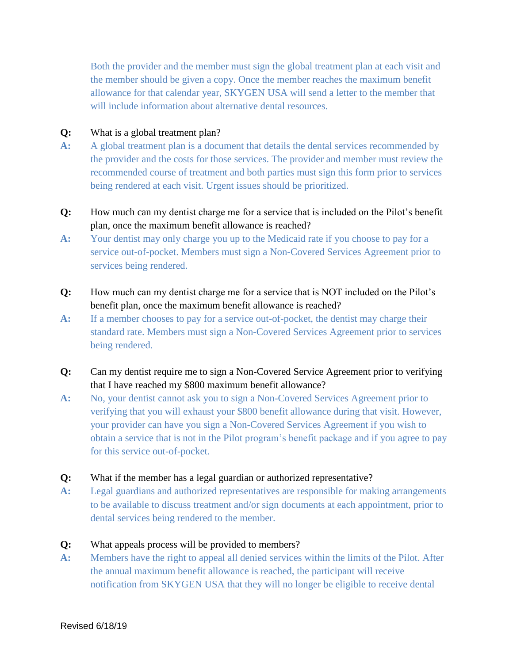Both the provider and the member must sign the global treatment plan at each visit and the member should be given a copy. Once the member reaches the maximum benefit allowance for that calendar year, SKYGEN USA will send a letter to the member that will include information about alternative dental resources.

### **Q:** What is a global treatment plan?

- **A:** A global treatment plan is a document that details the dental services recommended by the provider and the costs for those services. The provider and member must review the recommended course of treatment and both parties must sign this form prior to services being rendered at each visit. Urgent issues should be prioritized.
- **Q:** How much can my dentist charge me for a service that is included on the Pilot's benefit plan, once the maximum benefit allowance is reached?
- **A:** Your dentist may only charge you up to the Medicaid rate if you choose to pay for a service out-of-pocket. Members must sign a Non-Covered Services Agreement prior to services being rendered.
- **Q:** How much can my dentist charge me for a service that is NOT included on the Pilot's benefit plan, once the maximum benefit allowance is reached?
- **A:** If a member chooses to pay for a service out-of-pocket, the dentist may charge their standard rate. Members must sign a Non-Covered Services Agreement prior to services being rendered.
- **Q:** Can my dentist require me to sign a Non-Covered Service Agreement prior to verifying that I have reached my \$800 maximum benefit allowance?
- **A:** No, your dentist cannot ask you to sign a Non-Covered Services Agreement prior to verifying that you will exhaust your \$800 benefit allowance during that visit. However, your provider can have you sign a Non-Covered Services Agreement if you wish to obtain a service that is not in the Pilot program's benefit package and if you agree to pay for this service out-of-pocket.
- **Q:** What if the member has a legal guardian or authorized representative?
- **A:** Legal guardians and authorized representatives are responsible for making arrangements to be available to discuss treatment and/or sign documents at each appointment, prior to dental services being rendered to the member.
- **Q:** What appeals process will be provided to members?
- **A:** Members have the right to appeal all denied services within the limits of the Pilot. After the annual maximum benefit allowance is reached, the participant will receive notification from SKYGEN USA that they will no longer be eligible to receive dental